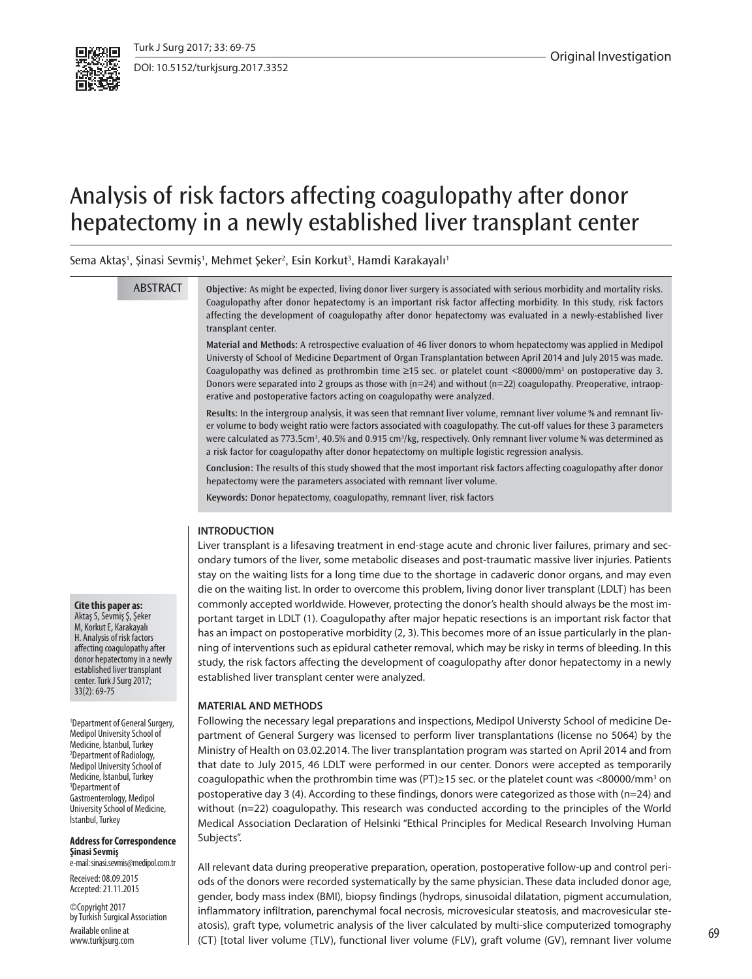

DOI: 10.5152/turkjsurg.2017.3352

# Analysis of risk factors affecting coagulopathy after donor hepatectomy in a newly established liver transplant center

Sema Aktaş<sup>1</sup>, Şinasi Sevmiş<sup>1</sup>, Mehmet Şeker<sup>2</sup>, Esin Korkut<sup>3</sup>, Hamdi Karakayalı<sup>1</sup>

**ABSTRACT** 

**Objective:** As might be expected, living donor liver surgery is associated with serious morbidity and mortality risks. Coagulopathy after donor hepatectomy is an important risk factor affecting morbidity. In this study, risk factors affecting the development of coagulopathy after donor hepatectomy was evaluated in a newly-established liver transplant center.

**Material and Methods:** A retrospective evaluation of 46 liver donors to whom hepatectomy was applied in Medipol Universty of School of Medicine Department of Organ Transplantation between April 2014 and July 2015 was made. Coagulopathy was defined as prothrombin time  $\geq 15$  sec. or platelet count <80000/mm<sup>3</sup> on postoperative day 3. Donors were separated into 2 groups as those with ( $n=24$ ) and without ( $n=22$ ) coagulopathy. Preoperative, intraoperative and postoperative factors acting on coagulopathy were analyzed.

**Results:** In the intergroup analysis, it was seen that remnant liver volume, remnant liver volume % and remnant liver volume to body weight ratio were factors associated with coagulopathy. The cut-off values for these 3 parameters were calculated as 773.5cm<sup>3</sup>, 40.5% and 0.915 cm<sup>3</sup>/kg, respectively. Only remnant liver volume % was determined as a risk factor for coagulopathy after donor hepatectomy on multiple logistic regression analysis.

**Conclusion:** The results of this study showed that the most important risk factors affecting coagulopathy after donor hepatectomy were the parameters associated with remnant liver volume.

**Keywords:** Donor hepatectomy, coagulopathy, remnant liver, risk factors

# **INTRODUCTION**

Liver transplant is a lifesaving treatment in end-stage acute and chronic liver failures, primary and secondary tumors of the liver, some metabolic diseases and post-traumatic massive liver injuries. Patients stay on the waiting lists for a long time due to the shortage in cadaveric donor organs, and may even die on the waiting list. In order to overcome this problem, living donor liver transplant (LDLT) has been commonly accepted worldwide. However, protecting the donor's health should always be the most important target in LDLT (1). Coagulopathy after major hepatic resections is an important risk factor that has an impact on postoperative morbidity (2, 3). This becomes more of an issue particularly in the planning of interventions such as epidural catheter removal, which may be risky in terms of bleeding. In this study, the risk factors affecting the development of coagulopathy after donor hepatectomy in a newly established liver transplant center were analyzed.

#### **MATERIAL AND METHODS**

Following the necessary legal preparations and inspections, Medipol Universty School of medicine Department of General Surgery was licensed to perform liver transplantations (license no 5064) by the Ministry of Health on 03.02.2014. The liver transplantation program was started on April 2014 and from that date to July 2015, 46 LDLT were performed in our center. Donors were accepted as temporarily coagulopathic when the prothrombin time was (PT)  $\geq$  15 sec. or the platelet count was <80000/mm<sup>3</sup> on postoperative day 3 (4). According to these findings, donors were categorized as those with (n=24) and without (n=22) coagulopathy. This research was conducted according to the principles of the World Medical Association Declaration of Helsinki "Ethical Principles for Medical Research Involving Human Subjects".

All relevant data during preoperative preparation, operation, postoperative follow-up and control periods of the donors were recorded systematically by the same physician. These data included donor age, gender, body mass index (BMI), biopsy findings (hydrops, sinusoidal dilatation, pigment accumulation, inflammatory infiltration, parenchymal focal necrosis, microvesicular steatosis, and macrovesicular steatosis), graft type, volumetric analysis of the liver calculated by multi-slice computerized tomography (CT) [total liver volume (TLV), functional liver volume (FLV), graft volume (GV), remnant liver volume

# **Cite this paper as:**

Aktaş S, Sevmiş Ş, Şeker M, Korkut E, Karakayalı H. Analysis of risk factors affecting coagulopathy after donor hepatectomy in a newly established liver transplant center. Turk J Surg 2017; 33(2): 69-75

<sup>1</sup>Department of General Surgery, Medipol University School of Medicine, İstanbul, Turkey <sup>2</sup>Department of Radiology, Medipol University School of Medicine, İstanbul, Turkey <sup>3</sup>Department of Gastroenterology, Medipol University School of Medicine, İstanbul, Turkey

#### **Address for Correspondence Şinasi Sevmiş**

e-mail: sinasi.sevmis@medipol.com.tr

Received:08.09.2015 Accepted: 21.11.2015

©Copyright 2017 by Turkish Surgical Association Available online at www.turkjsurg.com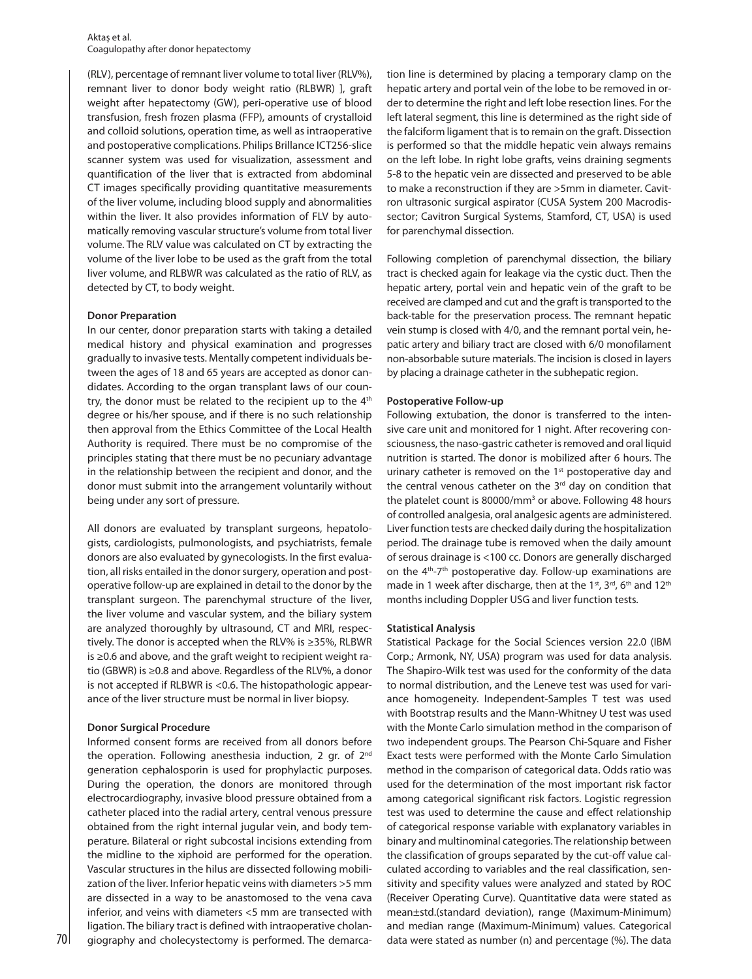(RLV), percentage of remnant liver volume to total liver (RLV%), remnant liver to donor body weight ratio (RLBWR) ], graft weight after hepatectomy (GW), peri-operative use of blood transfusion, fresh frozen plasma (FFP), amounts of crystalloid and colloid solutions, operation time, as well as intraoperative and postoperative complications. Philips Brillance ICT256-slice scanner system was used for visualization, assessment and quantification of the liver that is extracted from abdominal CT images specifically providing quantitative measurements of the liver volume, including blood supply and abnormalities within the liver. It also provides information of FLV by automatically removing vascular structure's volume from total liver volume. The RLV value was calculated on CT by extracting the volume of the liver lobe to be used as the graft from the total liver volume, and RLBWR was calculated as the ratio of RLV, as detected by CT, to body weight.

# **Donor Preparation**

In our center, donor preparation starts with taking a detailed medical history and physical examination and progresses gradually to invasive tests. Mentally competent individuals between the ages of 18 and 65 years are accepted as donor candidates. According to the organ transplant laws of our country, the donor must be related to the recipient up to the 4<sup>th</sup> degree or his/her spouse, and if there is no such relationship then approval from the Ethics Committee of the Local Health Authority is required. There must be no compromise of the principles stating that there must be no pecuniary advantage in the relationship between the recipient and donor, and the donor must submit into the arrangement voluntarily without being under any sort of pressure.

All donors are evaluated by transplant surgeons, hepatologists, cardiologists, pulmonologists, and psychiatrists, female donors are also evaluated by gynecologists. In the first evaluation, all risks entailed in the donor surgery, operation and postoperative follow-up are explained in detail to the donor by the transplant surgeon. The parenchymal structure of the liver, the liver volume and vascular system, and the biliary system are analyzed thoroughly by ultrasound, CT and MRI, respectively. The donor is accepted when the RLV% is ≥35%, RLBWR is ≥0.6 and above, and the graft weight to recipient weight ratio (GBWR) is ≥0.8 and above. Regardless of the RLV%, a donor is not accepted if RLBWR is <0.6. The histopathologic appearance of the liver structure must be normal in liver biopsy.

# **Donor Surgical Procedure**

Informed consent forms are received from all donors before the operation. Following anesthesia induction, 2 gr. of 2<sup>nd</sup> generation cephalosporin is used for prophylactic purposes. During the operation, the donors are monitored through electrocardiography, invasive blood pressure obtained from a catheter placed into the radial artery, central venous pressure obtained from the right internal jugular vein, and body temperature. Bilateral or right subcostal incisions extending from the midline to the xiphoid are performed for the operation. Vascular structures in the hilus are dissected following mobilization of the liver. Inferior hepatic veins with diameters >5 mm are dissected in a way to be anastomosed to the vena cava inferior, and veins with diameters <5 mm are transected with ligation. The biliary tract is defined with intraoperative cholantion line is determined by placing a temporary clamp on the hepatic artery and portal vein of the lobe to be removed in order to determine the right and left lobe resection lines. For the left lateral segment, this line is determined as the right side of the falciform ligament that is to remain on the graft. Dissection is performed so that the middle hepatic vein always remains on the left lobe. In right lobe grafts, veins draining segments 5-8 to the hepatic vein are dissected and preserved to be able to make a reconstruction if they are >5mm in diameter. Cavitron ultrasonic surgical aspirator (CUSA System 200 Macrodissector; Cavitron Surgical Systems, Stamford, CT, USA) is used for parenchymal dissection.

Following completion of parenchymal dissection, the biliary tract is checked again for leakage via the cystic duct. Then the hepatic artery, portal vein and hepatic vein of the graft to be received are clamped and cut and the graft is transported to the back-table for the preservation process. The remnant hepatic vein stump is closed with 4/0, and the remnant portal vein, hepatic artery and biliary tract are closed with 6/0 monofilament non-absorbable suture materials. The incision is closed in layers by placing a drainage catheter in the subhepatic region.

# **Postoperative Follow-up**

Following extubation, the donor is transferred to the intensive care unit and monitored for 1 night. After recovering consciousness, the naso-gastric catheter is removed and oral liquid nutrition is started. The donor is mobilized after 6 hours. The urinary catheter is removed on the 1<sup>st</sup> postoperative day and the central venous catheter on the  $3<sup>rd</sup>$  day on condition that the platelet count is 80000/mm<sup>3</sup> or above. Following 48 hours of controlled analgesia, oral analgesic agents are administered. Liver function tests are checked daily during the hospitalization period. The drainage tube is removed when the daily amount of serous drainage is <100 cc. Donors are generally discharged on the  $4<sup>th</sup>-7<sup>th</sup>$  postoperative day. Follow-up examinations are made in 1 week after discharge, then at the 1<sup>st</sup>, 3<sup>rd</sup>, 6<sup>th</sup> and 12<sup>th</sup> months including Doppler USG and liver function tests.

# **Statistical Analysis**

70 giography and cholecystectomy is performed. The demarca- data were stated as number (n) and percentage (%). The data Statistical Package for the Social Sciences version 22.0 (IBM Corp.; Armonk, NY, USA) program was used for data analysis. The Shapiro-Wilk test was used for the conformity of the data to normal distribution, and the Leneve test was used for variance homogeneity. Independent-Samples T test was used with Bootstrap results and the Mann-Whitney U test was used with the Monte Carlo simulation method in the comparison of two independent groups. The Pearson Chi-Square and Fisher Exact tests were performed with the Monte Carlo Simulation method in the comparison of categorical data. Odds ratio was used for the determination of the most important risk factor among categorical significant risk factors. Logistic regression test was used to determine the cause and effect relationship of categorical response variable with explanatory variables in binary and multinominal categories. The relationship between the classification of groups separated by the cut-off value calculated according to variables and the real classification, sensitivity and specifity values were analyzed and stated by ROC (Receiver Operating Curve). Quantitative data were stated as mean±std.(standard deviation), range (Maximum-Minimum) and median range (Maximum-Minimum) values. Categorical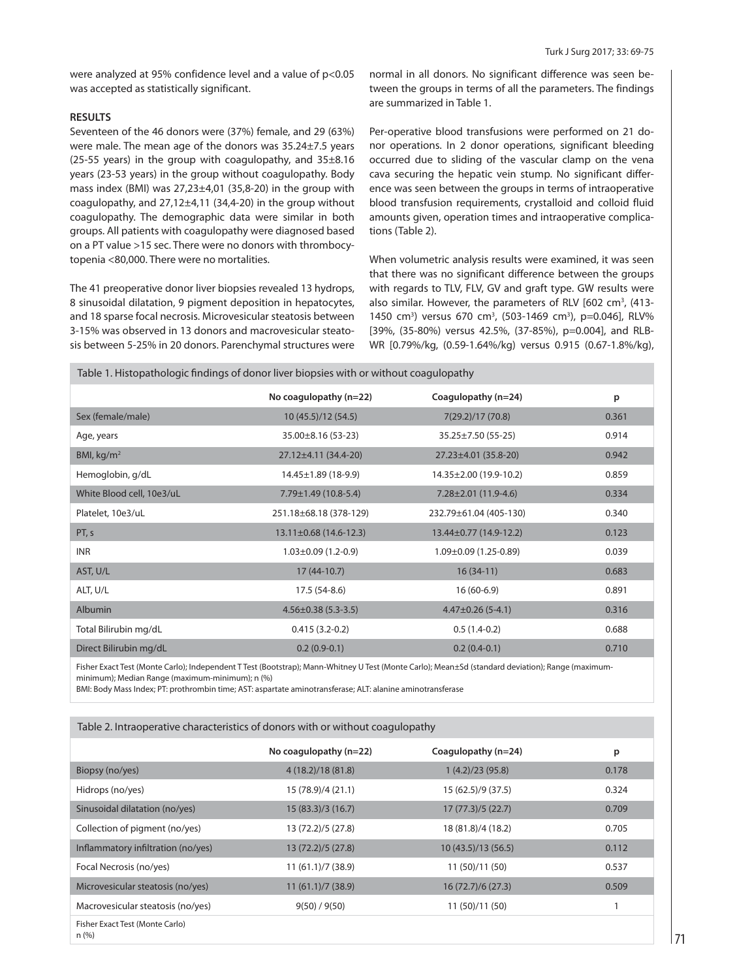were analyzed at 95% confidence level and a value of p<0.05 was accepted as statistically significant.

# **RESULTS**

Seventeen of the 46 donors were (37%) female, and 29 (63%) were male. The mean age of the donors was 35.24±7.5 years (25-55 years) in the group with coagulopathy, and  $35\pm8.16$ years (23-53 years) in the group without coagulopathy. Body mass index (BMI) was  $27,23\pm4,01$  (35,8-20) in the group with coagulopathy, and 27,12±4,11 (34,4-20) in the group without coagulopathy. The demographic data were similar in both groups. All patients with coagulopathy were diagnosed based on a PT value >15 sec. There were no donors with thrombocytopenia <80,000. There were no mortalities.

The 41 preoperative donor liver biopsies revealed 13 hydrops, 8 sinusoidal dilatation, 9 pigment deposition in hepatocytes, and 18 sparse focal necrosis. Microvesicular steatosis between 3-15% was observed in 13 donors and macrovesicular steatosis between 5-25% in 20 donors. Parenchymal structures were normal in all donors. No significant difference was seen between the groups in terms of all the parameters. The findings are summarized in Table 1.

Per-operative blood transfusions were performed on 21 donor operations. In 2 donor operations, significant bleeding occurred due to sliding of the vascular clamp on the vena cava securing the hepatic vein stump. No significant difference was seen between the groups in terms of intraoperative blood transfusion requirements, crystalloid and colloid fluid amounts given, operation times and intraoperative complications (Table 2).

When volumetric analysis results were examined, it was seen that there was no significant difference between the groups with regards to TLV, FLV, GV and graft type. GW results were also similar. However, the parameters of RLV [602 cm<sup>3</sup>, (413-1450 cm<sup>3</sup>) versus 670 cm<sup>3</sup>, (503-1469 cm<sup>3</sup>), p=0.046], RLV% [39%, (35-80%) versus 42.5%, (37-85%), p=0.004], and RLB-WR [0.79%/kg, (0.59-1.64%/kg) versus 0.915 (0.67-1.8%/kg),

|                           | No coagulopathy (n=22)       | Coagulopathy (n=24)          | p     |
|---------------------------|------------------------------|------------------------------|-------|
| Sex (female/male)         | 10 (45.5)/12 (54.5)          | 7(29.2)/17 (70.8)            | 0.361 |
| Age, years                | $35.00 \pm 8.16$ (53-23)     | $35.25 \pm 7.50(55 - 25)$    | 0.914 |
| BMI, $kg/m2$              | $27.12 \pm 4.11$ (34.4-20)   | $27.23 \pm 4.01$ (35.8-20)   | 0.942 |
| Hemoglobin, g/dL          | $14.45 \pm 1.89$ (18-9.9)    | 14.35±2.00 (19.9-10.2)       | 0.859 |
| White Blood cell, 10e3/uL | $7.79 \pm 1.49$ (10.8-5.4)   | $7.28 \pm 2.01$ (11.9-4.6)   | 0.334 |
| Platelet, 10e3/uL         | 251.18±68.18 (378-129)       | 232.79±61.04 (405-130)       | 0.340 |
| PT, s                     | $13.11 \pm 0.68$ (14.6-12.3) | $13.44 \pm 0.77$ (14.9-12.2) | 0.123 |
| <b>INR</b>                | $1.03 \pm 0.09$ (1.2-0.9)    | $1.09 \pm 0.09$ (1.25-0.89)  | 0.039 |
| AST, U/L                  | $17(44-10.7)$                | $16(34-11)$                  | 0.683 |
| ALT, U/L                  | 17.5 (54-8.6)                | $16(60-6.9)$                 | 0.891 |
| Albumin                   | $4.56 \pm 0.38$ (5.3-3.5)    | $4.47\pm0.26$ (5-4.1)        | 0.316 |
| Total Bilirubin mg/dL     | $0.415(3.2-0.2)$             | $0.5(1.4-0.2)$               | 0.688 |
| Direct Bilirubin mg/dL    | $0.2(0.9-0.1)$               | $0.2(0.4-0.1)$               | 0.710 |

Fisher Exact Test (Monte Carlo); Independent T Test (Bootstrap); Mann-Whitney U Test (Monte Carlo); Mean±Sd (standard deviation); Range (maximumminimum); Median Range (maximum-minimum); n (%)

BMI: Body Mass Index; PT: prothrombin time; AST: aspartate aminotransferase; ALT: alanine aminotransferase

Table 1. Histopathologic findings of donor liver biopsies with or without coagulopathy

|                                         | No coagulopathy $(n=22)$ | Coagulopathy (n=24) | p     |
|-----------------------------------------|--------------------------|---------------------|-------|
| Biopsy (no/yes)                         | 4 (18.2)/18 (81.8)       | 1(4.2)/23(95.8)     | 0.178 |
| Hidrops (no/yes)                        | 15 (78.9)/4 (21.1)       | 15 (62.5)/9 (37.5)  | 0.324 |
| Sinusoidal dilatation (no/yes)          | 15 (83.3)/3 (16.7)       | 17(77.3)/5(22.7)    | 0.709 |
| Collection of pigment (no/yes)          | 13 (72.2)/5 (27.8)       | 18 (81.8)/4 (18.2)  | 0.705 |
| Inflammatory infiltration (no/yes)      | 13 (72.2)/5 (27.8)       | 10(43.5)/13(56.5)   | 0.112 |
| Focal Necrosis (no/yes)                 | 11(61.1)/7(38.9)         | 11 (50)/11 (50)     | 0.537 |
| Microvesicular steatosis (no/yes)       | 11(61.1)/7(38.9)         | 16 (72.7)/6 (27.3)  | 0.509 |
| Macrovesicular steatosis (no/yes)       | 9(50) / 9(50)            | 11 (50)/11 (50)     |       |
| Fisher Exact Test (Monte Carlo)<br>n(%) |                          |                     |       |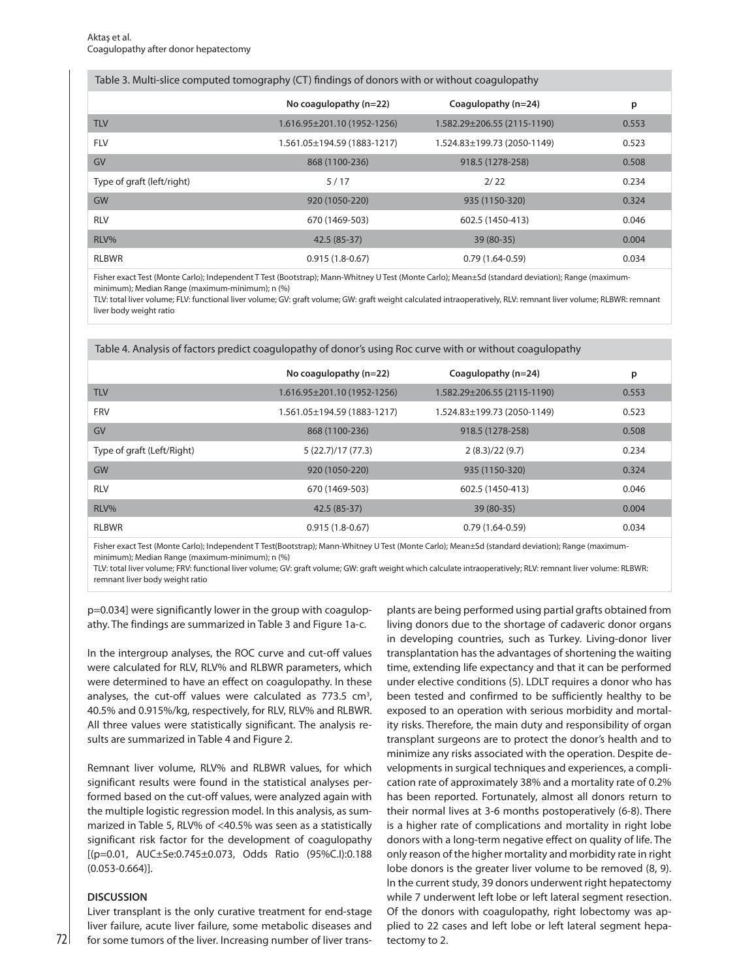| Table 3. Multi-slice computed tomography (CT) findings of donors with or without coagulopathy |                             |                             |       |  |
|-----------------------------------------------------------------------------------------------|-----------------------------|-----------------------------|-------|--|
|                                                                                               | No coagulopathy $(n=22)$    | Coagulopathy (n=24)         | p     |  |
| <b>TLV</b>                                                                                    | 1.616.95±201.10 (1952-1256) | 1.582.29±206.55 (2115-1190) | 0.553 |  |
| <b>FLV</b>                                                                                    | 1.561.05±194.59 (1883-1217) | 1.524.83±199.73 (2050-1149) | 0.523 |  |
| GV                                                                                            | 868 (1100-236)              | 918.5 (1278-258)            | 0.508 |  |
| Type of graft (left/right)                                                                    | 5/17                        | 2/22                        | 0.234 |  |
| <b>GW</b>                                                                                     | 920 (1050-220)              | 935 (1150-320)              | 0.324 |  |
| <b>RLV</b>                                                                                    | 670 (1469-503)              | 602.5 (1450-413)            | 0.046 |  |
| RLV%                                                                                          | 42.5 (85-37)                | 39 (80-35)                  | 0.004 |  |
| <b>RLBWR</b>                                                                                  | $0.915(1.8-0.67)$           | $0.79(1.64-0.59)$           | 0.034 |  |
|                                                                                               |                             |                             |       |  |

Fisher exact Test (Monte Carlo); Independent T Test (Bootstrap); Mann-Whitney U Test (Monte Carlo); Mean±Sd (standard deviation); Range (maximumminimum); Median Range (maximum-minimum); n (%)

Table 4. Analysis of factors predict coagulopathy of donor's using Roc curve with or without coagulopathy

TLV: total liver volume; FLV: functional liver volume; GV: graft volume; GW: graft weight calculated intraoperatively, RLV: remnant liver volume; RLBWR: remnant liver body weight ratio

| Table 4. Analysis of factors predict coaguiopathy of donors dsing noc curve with or without coaguiopathy |                             |                             |       |  |  |
|----------------------------------------------------------------------------------------------------------|-----------------------------|-----------------------------|-------|--|--|
|                                                                                                          | No coagulopathy $(n=22)$    | Coagulopathy $(n=24)$       | p     |  |  |
| <b>TLV</b>                                                                                               | 1.616.95±201.10 (1952-1256) | 1.582.29±206.55 (2115-1190) | 0.553 |  |  |
| <b>FRV</b>                                                                                               | 1.561.05±194.59 (1883-1217) | 1.524.83±199.73 (2050-1149) | 0.523 |  |  |
| GV                                                                                                       | 868 (1100-236)              | 918.5 (1278-258)            | 0.508 |  |  |
| Type of graft (Left/Right)                                                                               | 5(22.7)/17(77.3)            | 2(8.3)/22(9.7)              | 0.234 |  |  |
| <b>GW</b>                                                                                                | 920 (1050-220)              | 935 (1150-320)              | 0.324 |  |  |
| <b>RLV</b>                                                                                               | 670 (1469-503)              | 602.5 (1450-413)            | 0.046 |  |  |
| RLV%                                                                                                     | 42.5 (85-37)                | 39 (80-35)                  | 0.004 |  |  |
| <b>RLBWR</b>                                                                                             | $0.915(1.8-0.67)$           | $0.79(1.64-0.59)$           | 0.034 |  |  |

Fisher exact Test (Monte Carlo); Independent T Test(Bootstrap); Mann-Whitney U Test (Monte Carlo); Mean±Sd (standard deviation); Range (maximumminimum); Median Range (maximum-minimum); n (%)

TLV: total liver volume; FRV: functional liver volume; GV: graft volume; GW: graft weight which calculate intraoperatively; RLV: remnant liver volume: RLBWR: remnant liver body weight ratio

p=0.034] were significantly lower in the group with coagulopathy. The findings are summarized in Table 3 and Figure 1a-c.

In the intergroup analyses, the ROC curve and cut-off values were calculated for RLV, RLV% and RLBWR parameters, which were determined to have an effect on coagulopathy. In these analyses, the cut-off values were calculated as  $773.5 \text{ cm}^3$ , 40.5% and 0.915%/kg, respectively, for RLV, RLV% and RLBWR. All three values were statistically significant. The analysis results are summarized in Table 4 and Figure 2.

Remnant liver volume, RLV% and RLBWR values, for which significant results were found in the statistical analyses performed based on the cut-off values, were analyzed again with the multiple logistic regression model. In this analysis, as summarized in Table 5, RLV% of <40.5% was seen as a statistically significant risk factor for the development of coagulopathy [(p=0.01, AUC±Se:0.745±0.073, Odds Ratio (95%C.I):0.188 (0.053-0.664)].

# **DISCUSSION**

Liver transplant is the only curative treatment for end-stage liver failure, acute liver failure, some metabolic diseases and for some tumors of the liver. Increasing number of liver transplants are being performed using partial grafts obtained from living donors due to the shortage of cadaveric donor organs in developing countries, such as Turkey. Living-donor liver transplantation has the advantages of shortening the waiting time, extending life expectancy and that it can be performed under elective conditions (5). LDLT requires a donor who has been tested and confirmed to be sufficiently healthy to be exposed to an operation with serious morbidity and mortality risks. Therefore, the main duty and responsibility of organ transplant surgeons are to protect the donor's health and to minimize any risks associated with the operation. Despite developments in surgical techniques and experiences, a complication rate of approximately 38% and a mortality rate of 0.2% has been reported. Fortunately, almost all donors return to their normal lives at 3-6 months postoperatively (6-8). There is a higher rate of complications and mortality in right lobe donors with a long-term negative effect on quality of life. The only reason of the higher mortality and morbidity rate in right lobe donors is the greater liver volume to be removed (8, 9). In the current study, 39 donors underwent right hepatectomy while 7 underwent left lobe or left lateral segment resection. Of the donors with coagulopathy, right lobectomy was applied to 22 cases and left lobe or left lateral segment hepatectomy to 2.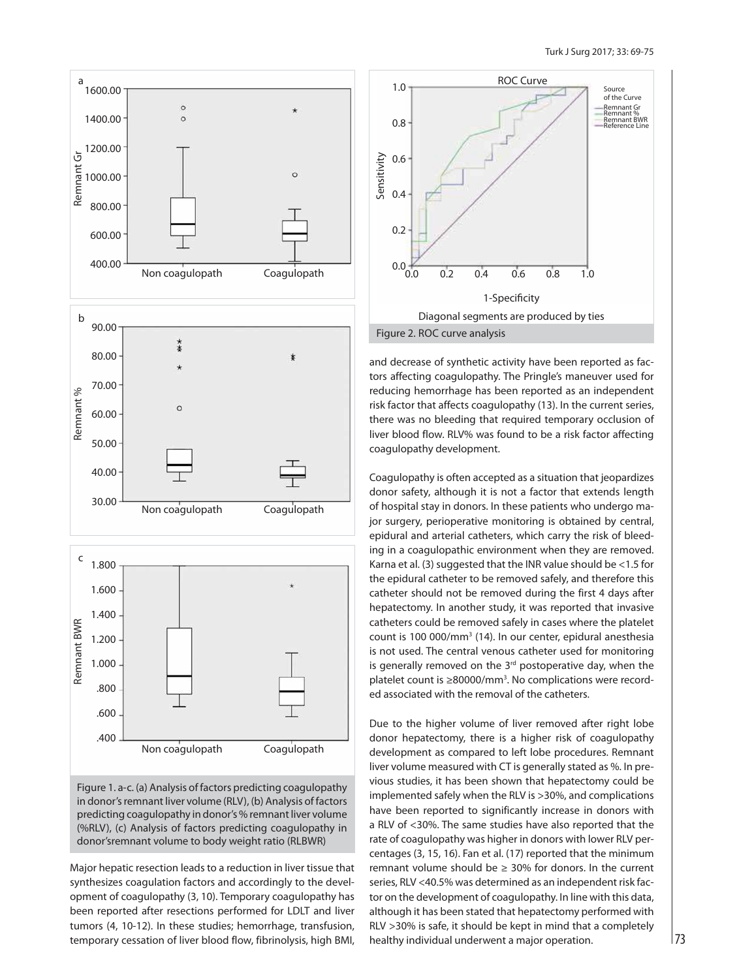

Figure 1. a-c. (a) Analysis of factors predicting coagulopathy in donor's remnant liver volume (RLV), (b) Analysis of factors predicting coagulopathy in donor's % remnant liver volume (%RLV), (c) Analysis of factors predicting coagulopathy in donor'sremnant volume to body weight ratio (RLBWR)

Major hepatic resection leads to a reduction in liver tissue that synthesizes coagulation factors and accordingly to the development of coagulopathy (3, 10). Temporary coagulopathy has been reported after resections performed for LDLT and liver tumors (4, 10-12). In these studies; hemorrhage, transfusion, temporary cessation of liver blood flow, fibrinolysis, high BMI,



and decrease of synthetic activity have been reported as factors affecting coagulopathy. The Pringle's maneuver used for reducing hemorrhage has been reported as an independent risk factor that affects coagulopathy (13). In the current series, there was no bleeding that required temporary occlusion of liver blood flow. RLV% was found to be a risk factor affecting coagulopathy development.

Coagulopathy is often accepted as a situation that jeopardizes donor safety, although it is not a factor that extends length of hospital stay in donors. In these patients who undergo major surgery, perioperative monitoring is obtained by central, epidural and arterial catheters, which carry the risk of bleeding in a coagulopathic environment when they are removed. Karna et al. (3) suggested that the INR value should be <1.5 for the epidural catheter to be removed safely, and therefore this catheter should not be removed during the first 4 days after hepatectomy. In another study, it was reported that invasive catheters could be removed safely in cases where the platelet count is 100 000/mm<sup>3</sup> (14). In our center, epidural anesthesia is not used. The central venous catheter used for monitoring is generally removed on the  $3<sup>rd</sup>$  postoperative day, when the platelet count is ≥80000/mm<sup>3</sup>. No complications were recorded associated with the removal of the catheters.

Due to the higher volume of liver removed after right lobe donor hepatectomy, there is a higher risk of coagulopathy development as compared to left lobe procedures. Remnant liver volume measured with CT is generally stated as %. In previous studies, it has been shown that hepatectomy could be implemented safely when the RLV is >30%, and complications have been reported to significantly increase in donors with a RLV of <30%. The same studies have also reported that the rate of coagulopathy was higher in donors with lower RLV percentages (3, 15, 16). Fan et al. (17) reported that the minimum remnant volume should be  $\geq$  30% for donors. In the current series, RLV <40.5% was determined as an independent risk factor on the development of coagulopathy. In line with this data, although it has been stated that hepatectomy performed with RLV >30% is safe, it should be kept in mind that a completely healthy individual underwent a major operation.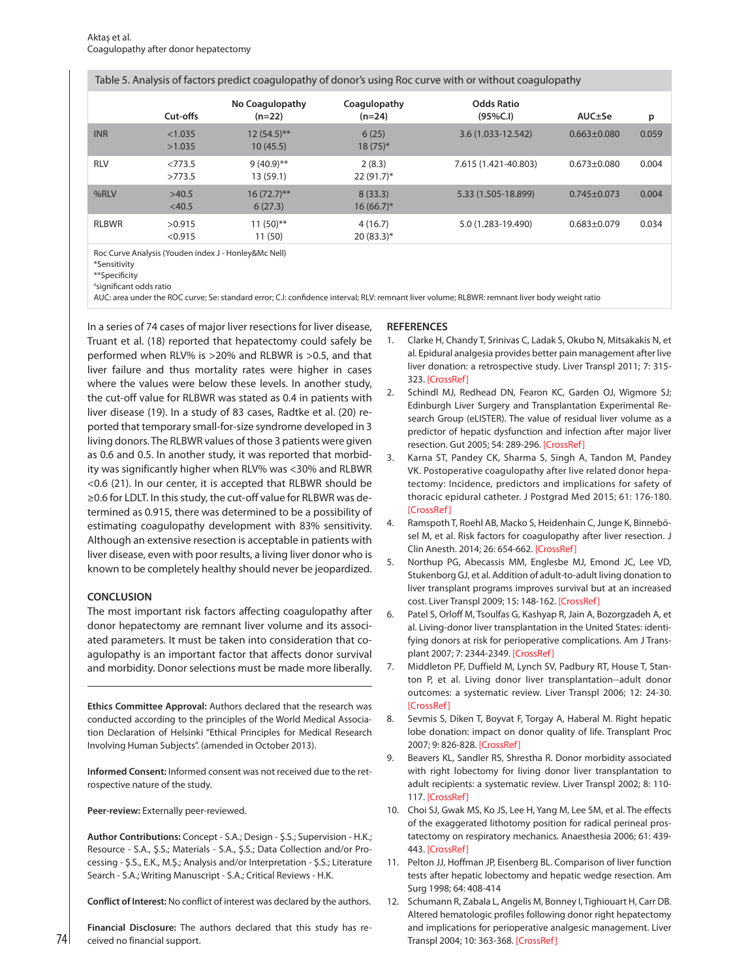|  | Table 5. Analysis of factors predict coagulopathy of donor's using Roc curve with or without coagulopathy |  |
|--|-----------------------------------------------------------------------------------------------------------|--|
|  |                                                                                                           |  |

|              | Cut-offs          | No Coagulopathy<br>$(n=22)$ | Coagulopathy<br>$(n=24)$ | <b>Odds Ratio</b><br>(95%C.1) | $AUC \pm Se$      | p     |
|--------------|-------------------|-----------------------------|--------------------------|-------------------------------|-------------------|-------|
| <b>INR</b>   | < 1.035<br>>1.035 | $12(54.5)$ **<br>10(45.5)   | 6(25)<br>$18(75)^*$      | 3.6 (1.033-12.542)            | $0.663 \pm 0.080$ | 0.059 |
| <b>RLV</b>   | < 773.5<br>>773.5 | $9(40.9)$ **<br>13(59.1)    | 2(8.3)<br>$22(91.7)^*$   | 7.615 (1.421-40.803)          | $0.673 + 0.080$   | 0.004 |
| %RLV         | >40.5<br>$<$ 40.5 | $16(72.7)$ **<br>6(27.3)    | 8(33.3)<br>$16(66.7)^*$  | 5.33 (1.505-18.899)           | $0.745 \pm 0.073$ | 0.004 |
| <b>RLBWR</b> | >0.915<br>< 0.915 | $11(50)$ **<br>11(50)       | 4(16.7)<br>$20(83.3)*$   | 5.0 (1.283-19.490)            | $0.683 + 0.079$   | 0.034 |

Roc Curve Analysis (Youden index J - Honley&Mc Nell)

\*\*Specificity

a significant odds ratio

AUC: area under the ROC curve; Se: standard error; C.I: confidence interval; RLV: remnant liver volume; RLBWR: remnant liver body weight ratio

In a series of 74 cases of major liver resections for liver disease, Truant et al. (18) reported that hepatectomy could safely be performed when RLV% is >20% and RLBWR is >0.5, and that liver failure and thus mortality rates were higher in cases where the values were below these levels. In another study, the cut-off value for RLBWR was stated as 0.4 in patients with liver disease (19). In a study of 83 cases, Radtke et al. (20) reported that temporary small-for-size syndrome developed in 3 living donors. The RLBWR values of those 3 patients were given as 0.6 and 0.5. In another study, it was reported that morbidity was significantly higher when RLV% was <30% and RLBWR <0.6 (21). In our center, it is accepted that RLBWR should be ≥0.6 for LDLT. In this study, the cut-off value for RLBWR was determined as 0.915, there was determined to be a possibility of estimating coagulopathy development with 83% sensitivity. Although an extensive resection is acceptable in patients with liver disease, even with poor results, a living liver donor who is known to be completely healthy should never be jeopardized.

# **CONCLUSION**

74

The most important risk factors affecting coagulopathy after donor hepatectomy are remnant liver volume and its associated parameters. It must be taken into consideration that coagulopathy is an important factor that affects donor survival and morbidity. Donor selections must be made more liberally.

**Ethics Committee Approval:** Authors declared that the research was conducted according to the principles of the World Medical Association Declaration of Helsinki "Ethical Principles for Medical Research Involving Human Subjects". (amended in October 2013).

**Informed Consent:** Informed consent was not received due to the retrospective nature of the study.

**Peer-review:** Externally peer-reviewed.

**Author Contributions:** Concept - S.A.; Design - Ş.S.; Supervision - H.K.; Resource - S.A., Ş.S.; Materials - S.A., Ş.S.; Data Collection and/or Processing - Ş.S., E.K., M.Ş.; Analysis and/or Interpretation - Ş.S.; Literature Search - S.A.; Writing Manuscript - S.A.; Critical Reviews - H.K.

**Conflict of Interest:** No conflict of interest was declared by the authors.

**Financial Disclosure:** The authors declared that this study has received no financial support.

# **REFERENCES**

- 1. Clarke H, Chandy T, Srinivas C, Ladak S, Okubo N, Mitsakakis N, et al. Epidural analgesia provides better pain management after live liver donation: a retrospective study. Liver Transpl 2011; 7: 315- 323. [CrossRef]
- 2. Schindl MJ, Redhead DN, Fearon KC, Garden OJ, Wigmore SJ; Edinburgh Liver Surgery and Transplantation Experimental Research Group (eLISTER). The value of residual liver volume as a predictor of hepatic dysfunction and infection after major liver resection. Gut 2005; 54: 289-296. [CrossRef]
- 3. Karna ST, Pandey CK, Sharma S, Singh A, Tandon M, Pandey VK. Postoperative coagulopathy after live related donor hepatectomy: Incidence, predictors and implications for safety of thoracic epidural catheter. J Postgrad Med 2015; 61: 176-180. [CrossRef ]
- 4. Ramspoth T, Roehl AB, Macko S, Heidenhain C, Junge K, Binnebösel M, et al. Risk factors for coagulopathy after liver resection. J Clin Anesth. 2014; 26: 654-662. [CrossRef]
- 5. Northup PG, Abecassis MM, Englesbe MJ, Emond JC, Lee VD, Stukenborg GJ, et al. Addition of adult-to-adult living donation to liver transplant programs improves survival but at an increased cost. Liver Transpl 2009; 15: 148-162. [CrossRef]
- 6. Patel S, Orloff M, Tsoulfas G, Kashyap R, Jain A, Bozorgzadeh A, et al. Living-donor liver transplantation in the United States: identifying donors at risk for perioperative complications. Am J Transplant 2007; 7: 2344-2349. [CrossRef]
- 7. Middleton PF, Duffield M, Lynch SV, Padbury RT, House T, Stanton P, et al. Living donor liver transplantation--adult donor outcomes: a systematic review. Liver Transpl 2006; 12: 24-30. [CrossRef ]
- 8. Sevmis S, Diken T, Boyvat F, Torgay A, Haberal M. Right hepatic lobe donation: impact on donor quality of life. Transplant Proc 2007; 9: 826-828. [CrossRef]
- 9. Beavers KL, Sandler RS, Shrestha R. Donor morbidity associated with right lobectomy for living donor liver transplantation to adult recipients: a systematic review. Liver Transpl 2002; 8: 110- 117. [CrossRef]
- 10. Choi SJ, Gwak MS, Ko JS, Lee H, Yang M, Lee SM, et al. The effects of the exaggerated lithotomy position for radical perineal prostatectomy on respiratory mechanics. Anaesthesia 2006; 61: 439- 443. [CrossRef]
- 11. Pelton JJ, Hoffman JP, Eisenberg BL. Comparison of liver function tests after hepatic lobectomy and hepatic wedge resection. Am Surg 1998; 64: 408-414
- 12. Schumann R, Zabala L, Angelis M, Bonney I, Tighiouart H, Carr DB. Altered hematologic profiles following donor right hepatectomy and implications for perioperative analgesic management. Liver Transpl 2004; 10: 363-368. [CrossRef]

<sup>\*</sup>Sensitivity